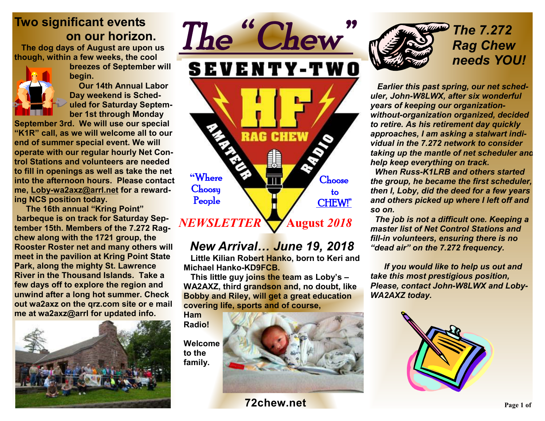# **Two significant events on our horizon.**

 **The dog days of August are upon us though, within a few weeks, the cool** 

> **breezes of September will begin.**

> **Our 14th Annual Labor Day weekend is Scheduled for Saturday September 1st through Monday**

**September 3rd. We will use our special "K1R" call, as we will welcome all to our end of summer special event. We will operate with our regular hourly Net Control Stations and volunteers are needed to fill in openings as well as take the net into the afternoon hours. Please contact me, Loby-wa2axz@arrl.net for a rewarding NCS position today.** 

 **The 16th annual "Kring Point" barbeque is on track for Saturday September 15th. Members of the 7.272 Ragchew along with the 1721 group, the Rooster Roster net and many others will meet in the pavilion at Kring Point State Park, along the mighty St. Lawrence River in the Thousand Islands. Take a few days off to explore the region and unwind after a long hot summer. Check out wa2axz on the qrz.com site or e mail me at wa2axz@arrl for updated info.** 



*The " Chew"*  **SEVENTY-TWO RAG CHEW "**Where **Choose Choosy**  to People CHEW!"  **August** *2018 NEWSLETTER* 

 *New Arrival… June 19, 2018*  **Little Kilian Robert Hanko, born to Keri and Michael Hanko-KD9FCB.** 

 **This little guy joins the team as Loby's – WA2AXZ, third grandson and, no doubt, like Bobby and Riley, will get a great education covering life, sports and of course,** 

**Ham Radio!** 

**Welcome to the family.** 



*The 7.272 Rag Chew needs YOU!*

 *Earlier this past spring, our net scheduler, John-W8LWX, after six wonderful years of keeping our organizationwithout-organization organized, decided to retire. As his retirement day quickly approaches, I am asking a stalwart individual in the 7.272 network to consider taking up the mantle of net scheduler and help keep everything on track.* 

 *When Russ-K1LRB and others started the group, he became the first scheduler, then I, Loby, did the deed for a few years and others picked up where I left off and so on.* 

 *The job is not a difficult one. Keeping a master list of Net Control Stations and fill-in volunteers, ensuring there is no "dead air" on the 7.272 frequency.* 

 *If you would like to help us out and take this most prestigious position, Please, contact John-W8LWX and Loby-WA2AXZ today.* 



**72chew.net Page 1** of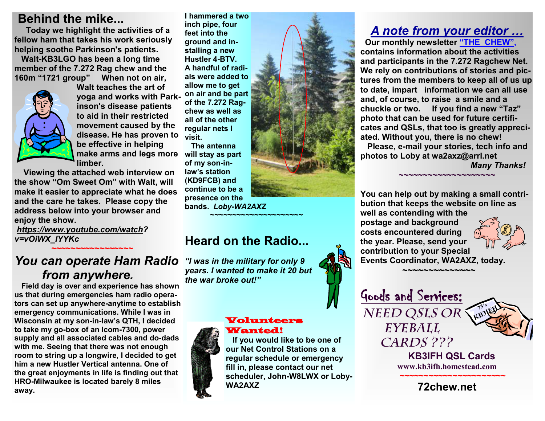### **Behind the mike...**

 **Today we highlight the activities of a fellow ham that takes his work seriously helping soothe Parkinson's patients.** 

 **Walt-KB3LGO has been a long time member of the 7.272 Rag chew and the 160m "1721 group" When not on air,** 



**Walt teaches the art of yoga and works with Parkinson's disease patients to aid in their restricted movement caused by the disease. He has proven to be effective in helping make arms and legs more limber.** 

 **Viewing the attached web interview on the show "Om Sweet Om" with Walt, will make it easier to appreciate what he does and the care he takes. Please copy the address below into your browser and enjoy the show.** 

*https://www.youtube.com/watch? v=vOiWX\_lYYKc* 

 **★★★★★★★★★★★★★★★★★** 

#### *You can operate Ham Radio from anywhere.*

**Field day is over and experience has shown us that during emergencies ham radio operators can set up anywhere-anytime to establish emergency communications. While I was in Wisconsin at my son-in-law's QTH, I decided to take my go-box of an Icom-7300, power supply and all associated cables and do-dads with me. Seeing that there was not enough room to string up a longwire, I decided to get him a new Hustler Vertical antenna. One of the great enjoyments in life is finding out that HRO-Milwaukee is located barely 8 miles away.**

**I hammered a two inch pipe, four feet into the ground and installing a new Hustler 4-BTV. A handful of radials were added to allow me to get on air and be part of the 7.272 Ragchew as well as all of the other regular nets I visit.** 

**The antenna will stay as part of my son-inlaw's station (KD9FCB) and continue to be a presence on the bands.** *Loby-WA2AXZ* **~~~~~~~~~~~~~~~~~~~~~** 

## **Heard on the Radio...**

*"I was in the military for only 9 years. I wanted to make it 20 but the war broke out!"*

#### Volunteers Wanted!



 **If you would like to be one of our Net Control Stations on a regular schedule or emergency fill in, please contact our net scheduler, John-W8LWX or Loby-WA2AXZ**

# *A note from your editor …*

 **Our monthly newsletter "THE CHEW", contains information about the activities and participants in the 7.272 Ragchew Net. We rely on contributions of stories and pictures from the members to keep all of us up to date, impart information we can all use and, of course, to raise a smile and a chuckle or two. If you find a new "Taz" photo that can be used for future certificates and QSLs, that too is greatly appreciated. Without you, there is no chew! Please, e-mail your stories, tech info and photos to Loby at wa2axz@arrl.net** 

**~~~~~~~~~~~~~~~~~~~~**

*Many Thanks!* 

**You can help out by making a small contribution that keeps the website on line as well as contending with the postage and background costs encountered during the year. Please, send your contribution to your Special Events Coordinator, WA2AXZ, today.** 

 **~~~~~~~~~~~~~~** 

Goods and Services:

*Need QSLs or* 

*Eyeball* 

*Cards ???* 

 **KB3IFH QSL Cards www.kb3ifh.homestead.com ~~~~~~~~~~~~~~~~~~~~~~ 72chew.net**

**73's KB3IFH**